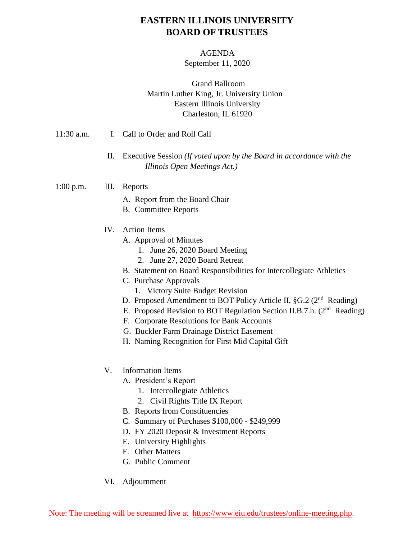## **EASTERN ILLINOIS UNIVERSITY BOARD OF TRUSTEES**

#### AGENDA

September 11, 2020

### Grand Ballroom Martin Luther King, Jr. University Union Eastern Illinois University Charleston, IL 61920

- 11:30 a.m. I. Call to Order and Roll Call
	- II. Executive Session *(If voted upon by the Board in accordance with the Illinois Open Meetings Act.)*

#### 1:00 p.m. III. Reports

- A. Report from the Board Chair
- B. Committee Reports
- IV. Action Items
	- A. Approval of Minutes
		- 1. June 26, 2020 Board Meeting
		- 2. June 27, 2020 Board Retreat
	- B. Statement on Board Responsibilities for Intercollegiate Athletics
	- C. Purchase Approvals
		- 1. Victory Suite Budget Revision
	- D. Proposed Amendment to BOT Policy Article II, §G.2 (2<sup>nd</sup> Reading)
	- E. Proposed Revision to BOT Regulation Section II.B.7.h. (2<sup>nd</sup> Reading)
	- F. Corporate Resolutions for Bank Accounts
	- G. Buckler Farm Drainage District Easement
	- H. Naming Recognition for First Mid Capital Gift
- V. Information Items
	- A. President's Report
		- 1. Intercollegiate Athletics
		- 2. Civil Rights Title IX Report
	- B. Reports from Constituencies
	- C. Summary of Purchases \$100,000 \$249,999
	- D. FY 2020 Deposit & Investment Reports
	- E. University Highlights
	- F. Other Matters
	- G. Public Comment
- VI. Adjournment